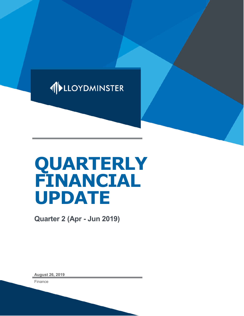

# **QUARTERLY FINANCIAL UPDATE**

**Quarter 2 (Apr - Jun 2019)**

**August 26, 2019**

Finance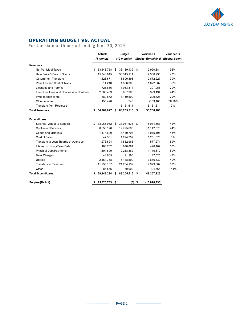

## **OPERATING BUDGET VS. ACTUAL**

For the six-month period ending June 30, 2019

|                                                | <b>Actuals</b> |            | <b>Budget</b> |               | Variance \$ |                    | Variance %     |  |
|------------------------------------------------|----------------|------------|---------------|---------------|-------------|--------------------|----------------|--|
|                                                | (6 months)     |            |               | (12 months)   |             | (Budget Remaining) | (Budget Spent) |  |
| <b>Revenues</b>                                |                |            |               |               |             |                    |                |  |
| Net Municipal Taxes                            | \$             | 33,148,758 | \$            | 36,139,139    | - \$        | 2,990,381          | 92%            |  |
| User Fees & Sale of Goods                      |                | 15,748,815 |               | 33,315,111    |             | 17,566,296         | 47%            |  |
| <b>Government Transfers</b>                    |                | 1,128,671  |               | 3,800,898     |             | 2,672,227          | 30%            |  |
| Penalties and Cost of Taxes                    |                | 514,218    |               | 1,586,300     |             | 1,072,082          | 32%            |  |
| Licenses and Permits                           |                | 725,856    |               | 1,033,814     |             | 307,958            | 70%            |  |
| <b>Franchise Fees and Concession Contracts</b> |                | 2,668,409  |               | 6,067,903     |             | 3,399,494          | 44%            |  |
| Investment Income                              |                | 880,872    |               | 1,110,500     |             | 229,628            | 79%            |  |
| Other Income                                   |                | 153,428    |               | 240           |             | (153, 188)         | 63928%         |  |
| <b>Transfers from Reserves</b>                 |                |            |               | 5,151,611     |             | 5,151,611          | 0%             |  |
| <b>Total Revenues</b>                          | \$             | 54,969,027 | \$            | 88,205,516    | \$          | 33,236,488         |                |  |
| <b>Expenditures</b>                            |                |            |               |               |             |                    |                |  |
| Salaries, Wages & Benefits                     | \$             | 13,066,982 | - \$          | 31,081,635    | \$          | 18,014,653         | 42%            |  |
| <b>Contracted Services</b>                     |                | 8,653,120  |               | 19,795,693    |             | 11,142,573         | 44%            |  |
| Goods and Materials                            |                | 1,474,600  |               | 3,449,798     |             | 1,975,198          | 43%            |  |
| Cost of Sales                                  |                | 42,381     |               | 1,294,259     |             | 1,251,878          | 3%             |  |
| Transfers to Local Boards or Agencies          |                | 1,275,694  |               | 1,852,965     |             | 577,271            | 69%            |  |
| Interest on Long-Term Debt                     |                | 488,702    |               | 978,884       |             | 490,182            | 50%            |  |
| <b>Principal Debt Payments</b>                 |                | 1,101,690  |               | 2,218,362     |             | 1,116,672          | 50%            |  |
| <b>Bank Charges</b>                            |                | 43,665     |               | 91,190        |             | 47,525             | 48%            |  |
| <b>Utilities</b>                               |                | 2,461,758  |               | 6,148,590     |             | 3,686,832          | 40%            |  |
| <b>Transfers to Reserves</b>                   |                | 11,255,137 |               | 21,234,139    |             | 9,979,002          | 53%            |  |
| Other                                          |                | 84,565     |               | 60,000        |             | (24, 565)          | 141%           |  |
| <b>Total Expenditures</b>                      | \$             | 39,948,294 | \$            | 88,205,516 \$ |             | 48,257,222         |                |  |
| Surplus/(Deficit)                              | \$             | 15,020,733 | \$            |               | $(0)$ \$    | (15,020,733)       |                |  |

 $\sim$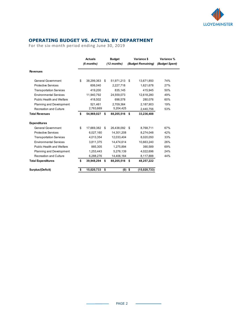

#### **OPERATING BUDGET VS. ACTUAL BY DEPARTMENT**

For the six-month period ending June 30, 2019

|                                  | <b>Actuals</b><br>$(6$ months) |            | <b>Budget</b><br>$(12$ months) |            | Variance \$<br>(Budget Remaining) |              | Variance %<br>(Budget Spent) |  |
|----------------------------------|--------------------------------|------------|--------------------------------|------------|-----------------------------------|--------------|------------------------------|--|
| <b>Revenues</b>                  |                                |            |                                |            |                                   |              |                              |  |
| General Government               | \$                             | 38,299,363 | \$                             | 51,971,213 | \$.                               | 13,671,850   | 74%                          |  |
| <b>Protective Services</b>       |                                | 606,040    |                                | 2,227,718  |                                   | 1,621,678    | 27%                          |  |
| <b>Transportation Services</b>   |                                | 419,200    |                                | 835,145    |                                   | 415,945      | 50%                          |  |
| <b>Environmental Services</b>    |                                | 11,940,792 |                                | 24,559,073 |                                   | 12,618,280   | 49%                          |  |
| Public Health and Welfare        |                                | 418,502    |                                | 698,578    |                                   | 280,076      | 60%                          |  |
| <b>Planning and Development</b>  |                                | 521,461    |                                | 2.709.364  |                                   | 2,187,903    | 19%                          |  |
| <b>Recreation and Culture</b>    |                                | 2,763,669  |                                | 5,204,425  |                                   | 2,440,756    | 53%                          |  |
| <b>Total Revenues</b>            | \$                             | 54,969,027 | \$                             | 88,205,516 | Ŝ.                                | 33,236,488   |                              |  |
| <b>Expenditures</b>              |                                |            |                                |            |                                   |              |                              |  |
| <b>General Government</b>        | \$                             | 17,669,382 | \$                             | 26,438,092 | \$                                | 8,768,711    | 67%                          |  |
| <b>Protective Services</b>       |                                | 6,027,160  |                                | 14,301,208 |                                   | 8,274,048    | 42%                          |  |
| <b>Transportation Services</b>   |                                | 4,013,354  |                                | 12,033,404 |                                   | 8,020,050    | 33%                          |  |
| <b>Environmental Services</b>    |                                | 3,811,375  |                                | 14.474.614 |                                   | 10,663,240   | 26%                          |  |
| <b>Public Health and Welfare</b> |                                | 885,305    |                                | 1,275,894  |                                   | 390,589      | 69%                          |  |
| <b>Planning and Development</b>  |                                | 1,253,443  |                                | 5,276,139  |                                   | 4,022,696    | 24%                          |  |
| <b>Recreation and Culture</b>    |                                | 6,288,276  |                                | 14,406,164 |                                   | 8,117,888    | 44%                          |  |
| <b>Total Expenditures</b>        | \$                             | 39,948,294 | \$                             | 88,205,516 | -\$                               | 48,257,222   |                              |  |
| Surplus/(Deficit)                | \$                             | 15,020,733 | \$                             |            | $(0)$ \$                          | (15,020,733) |                              |  |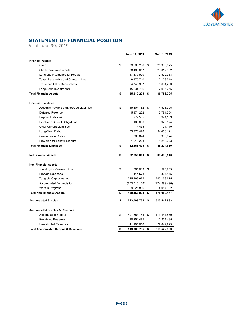

### **STATEMENT OF FINANCIAL POSITION**

As at June 30, 2019

|                                                 | June 30, 2019        | Mar 31, 2019      |
|-------------------------------------------------|----------------------|-------------------|
| <b>Financial Assets</b>                         |                      |                   |
| Cash                                            | \$<br>39,596,236     | \$<br>25,386,825  |
| Short-Term Investments                          | 38,488,657           | 29,017,952        |
| Land and Inventories for Resale                 | 17,477,900           | 17,522,953        |
| Taxes Receivable and Grants in Lieu             | 9,875,740            | 2,109,518         |
| Trade and Other Receivables                     | 4,745,997            | 5,684,203         |
| Long-Term Investments                           | 15,034,766           | 7,036,755         |
| <b>Total Financial Assets</b>                   | \$<br>125,219,295 \$ | 86,758,205        |
| <b>Financial Liabilities</b>                    |                      |                   |
| Accounts Payable and Accrued Liabilities        | \$<br>19,804,162 \$  | 4,576,905         |
| Deferred Revenue                                | 5,971,202            | 5,791,754         |
| <b>Deposit Liabilities</b>                      | 979,505              | 971,139           |
| <b>Employee Benefit Obligations</b>             | 103,666              | 928,574           |
| <b>Other Current Liabilities</b>                | 14,435               | 21,119            |
| Long-Term Debt                                  | 33,970,478           | 34,460,121        |
| <b>Contaminated Sites</b>                       | 305,824              | 305,824           |
| Provision for Landfill Closure                  | 1,219,223            | 1,219,223         |
| <b>Total Financial Liabilities</b>              | \$<br>62,368,495 \$  | 48,274,659        |
| <b>Net Financial Assets</b>                     | \$<br>62,850,800     | \$<br>38,483,546  |
| <b>Non-Financial Assets</b>                     |                      |                   |
| Inventory for Consumption                       | \$<br>565,013 \$     | 570,703           |
| <b>Prepaid Expenses</b>                         | 414,578              | 307,175           |
| <b>Tangible Capital Assets</b>                  | 745,163,675          | 745,163,675       |
| <b>Accumulated Depreciation</b>                 | (275,010,138)        | (274, 999, 498)   |
| Work in Progress                                | 9,025,806            | 4,017,392         |
| <b>Total Non-Financial Assets</b>               | \$<br>480,158,934    | \$<br>475,059,447 |
| <b>Accumulated Surplus</b>                      | \$<br>543,009,735    | \$<br>513,542,993 |
| <b>Accumulated Surplus &amp; Reserves</b>       |                      |                   |
| <b>Accumulated Surplus</b>                      | \$<br>491,653,184 \$ | 473,441,579       |
| <b>Restricted Reserves</b>                      | 10,251,485           | 10,251,485        |
| <b>Unrestricted Reserves</b>                    | 41,105,066           | 29,849,929        |
| <b>Total Accumulated Surplus &amp; Reserves</b> | \$<br>543,009,735    | \$<br>513,542,993 |

 $\sim$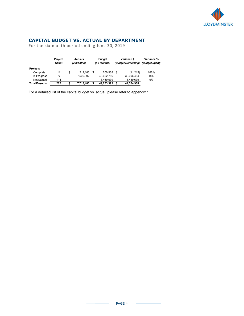

#### **CAPITAL BUDGET VS. ACTUAL BY DEPARTMENT**

For the six-month period ending June 30, 2019

|                       | <b>Project</b><br>Count | <b>Actuals</b><br>(3 months) |      | <b>Budget</b><br>$(12$ months) |      | Variance \$<br>(Budget Remaining) | Variance %<br>(Budget Spent) |  |
|-----------------------|-------------------------|------------------------------|------|--------------------------------|------|-----------------------------------|------------------------------|--|
| <b>Projects</b>       |                         |                              |      |                                |      |                                   |                              |  |
| Complete              | 11                      | \$<br>212.183                | - \$ | 200.968                        | - \$ | (11, 215)                         | 106%                         |  |
| In Progress           | 77                      | 7.506.302                    |      | 40,602,786                     |      | 33,096,484                        | 18%                          |  |
| Not Started           | 114                     |                              |      | 8.469.639                      |      | 8,469,639                         | 0%                           |  |
| <b>Total Projects</b> | 202                     | \$<br>7,718,485              |      | 49,273,393                     |      | 41,554,908                        |                              |  |

For a detailed list of the capital budget vs. actual, please refer to appendix 1.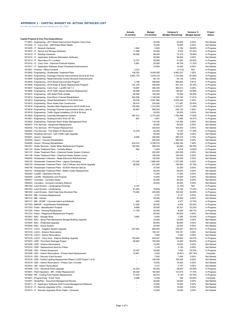#### **APPENDIX 1 - CAPITAL BUDGET VS. ACTUAL DETAILED LIST**

For the six-month period ending June 30, 2019

|                                                                                                                              | <b>Actuals</b><br>(6 months)   | <b>Budget</b><br>(12 months) | Variance \$<br>(Budget Remaining) | Variance %<br>(Budget Spent) | Project<br><b>Status</b>   |
|------------------------------------------------------------------------------------------------------------------------------|--------------------------------|------------------------------|-----------------------------------|------------------------------|----------------------------|
| <b>Capital Projects &amp; One-Time Expenditures</b>                                                                          |                                |                              |                                   |                              |                            |
| 1713601 - Engineering - 2017 Street Improvement Program Carry-Over                                                           |                                | 20,000                       | 20,000                            | 0.00%                        | Not Started                |
| 1813204 - IT - Carry Over - AMI Water Meter Reads<br>1813205 - IT - Network Hardware                                         | 1,840                          | 10,000                       | 10,000<br>3,160                   | 0.00%                        | Not Started                |
| 1813207 - IT - Server and Storage Hardware                                                                                   | 11,468                         | 5,000<br>20,000              | 8,532                             | 36.80%<br>57.34%             | In Progress<br>In Progress |
| 1813210 - IT - Desktop Hardware                                                                                              | 54,090                         | 68,400                       | 14,310                            | 79.08%                       | In Progress                |
| 1813212 - IT - Application Software (Recreation Software)                                                                    |                                | 55,000                       | 55,000                            | 0.00%                        | Not Started                |
| 1813213 - IT - Secondary 911 Location                                                                                        | 13,707                         | 55,000                       | 41,293                            | 24.92%                       | In Progress                |
| 1813214 - IT - Carry Over - Diamond Financial System                                                                         | 5,891                          | 52,000                       | 46,109                            | 11.33%                       | In Progress                |
| 1813217 - IT - Application Software (Pearl Timesheet Enhancement)                                                            |                                | 10,000                       | 10,000                            | 0.00%                        | Not Started                |
| 1813401 - Finance - Office Furniture                                                                                         | 3,312                          | $\overline{\phantom{a}}$     | (3, 312)                          | N/A                          | In Progress                |
| 1813602 - Engineering - Wastewater Treatment Plant                                                                           | 136,763                        | 9,000,000                    | 8,863,237                         | 1.52%                        | In Progress                |
| 1813603 - Engineering - Drainage Channel Improvements (52 St & 62 Ave)                                                       | 2,667,770                      | 3,978,316                    | 1,310,546                         | 67.06%                       | In Progress                |
| 1813604 - Engineering - Neale Edmunds Control Structure Improvements                                                         |                                | 64,130                       | 64,130                            | 0.00%                        | Not Started                |
| 1813605 - Engineering - 2018 Street Improvement Program                                                                      | 3,198                          | 368,800                      | 365,602                           | 0.87%                        | In Progress                |
| 1813606 - Engineering - 2018 Water & Sewer Replacement Program                                                               | 147,218                        | 428,590                      | 281,372                           | 34.35%                       | In Progress                |
| 1813607 - Engineering - Carry Over - Landfill Cell 1.3                                                                       | 19,987                         | 380,000                      | 360,013                           | 5.26%                        | In Progress                |
| 1813608 - Engineering - 2018 Traffic Signal Hardware Replacement                                                             | 46,599                         | 203,000                      | 156,401                           | 22.96%                       | In Progress                |
| 1813610 - Engineering - GIS Aerial Photo Update                                                                              | 26,000                         | 100,000                      | 74,000<br>323,740                 | 26.00%<br>71.81%             | In Progress                |
| 1813612 - Engineering - East Storm Channel Rehabilitation<br>1813613 - Engineering - Street Rehabilitation (12-44 St/40 Ave) | 824,506<br>59,535              | 1,148,246<br>2,591,980       | 2,532,445                         | 2.30%                        | In Progress<br>In Progress |
| 1813615 - Engineering - River Intake Dam Construction                                                                        | 58,414                         | 230,000                      | 171,587                           | 25.40%                       | In Progress                |
| 1813616 - Engineering - Sanitary Main Replacement (36-40 St/48 Ave)                                                          | 150,929                        | 1,314,000                    | 1,163,071                         | 11.49%                       | In Progress                |
| 1813618 - Engineering - Drainage Channel Improvements (East, Lake K)                                                         | 45,867                         | 585,000                      | 539,133                           | 7.84%                        | In Progress                |
| 1813619 - Engineering - Traffic Signal Installation (25 St & 59 Ave)                                                         | $\blacksquare$                 | 20,000                       | 20,000                            | 0.00%                        | Not Started                |
| 1813620 - Engineering - Leachate Management System                                                                           | 387,412                        | 2,170,000                    | 1,782,588                         | 17.85%                       | In Progress                |
| 1813621 - Engineering - Grading & Ditch Work (67 St)                                                                         | 891                            | 4,851                        | 3,960                             | 18.37%                       | In Progress                |
| 1813622 - Engineering - Parkview Storm Water Management Pond                                                                 | $\overline{\phantom{a}}$       | 116,760                      | 116,760                           | 0.00%                        | Not Started                |
| 1823001 - Fire Services - Equipment Replacement                                                                              |                                | 40,000                       | 40,000                            | 0.00%                        | Not Started                |
| 1823002 - Fire Services - #14 Pumper Replacement                                                                             |                                | 424,833                      | 424,833                           | 0.00%                        | Not Started                |
| 1823003 - Fire Services - Fire Station #1 Renovation                                                                         | 14,278                         | 20,000                       | 5,722                             | 71.39%                       | In Progress                |
| 1832004 - Roadway Services - LED Traffic Light Upgrade                                                                       |                                | 50,000                       | 50,000                            | 0.00%                        | Not Started                |
| 1834001 - Airport - Generator                                                                                                | 9,584                          | 300,000                      | 290,416                           | 3.19%                        | In Progress                |
| 1834004 - Airport - Taxiway Rehabilitation                                                                                   |                                | 250,000                      | 250,000                           | 0.00%                        | Not Started                |
| 1834005 - Airport - Runway Rehabilitation                                                                                    | 433,510                        | 5,790,274                    | 5,356,764                         | 7.49%                        | In Progress                |
| 1841001 - Water Services - Water Meter Replacement Program                                                                   | 183,263                        | 266,523                      | 83,260                            | 68.76%                       | In Progress                |
| 1841103 - Water Treatment Plant - Turbidity Meters                                                                           | 682                            | 5,000                        | 4,318                             | 13.64%                       | In Progress                |
| 1841107 - Water Treatment Plant - Chemical Feeder System (Carbon)                                                            | ÷,                             | 205,000                      | 205,000                           | 0.00%                        | Not Started                |
| 1841108 - Water Treatment Plant - Chemical Feeder System (Lime)                                                              | $\overline{a}$                 | 195,000                      | 195,000                           | 0.00%                        | Not Started                |
| 1842002 - Wastewater Collection - Neale Edmunds Refurbishment<br>1842102 - Wastewater Treatment Plant - Lagoon Desludging    | 173,345                        | 120,000<br>1,880,400         | 120,000<br>1,707,055              | 0.00%<br>9.22%               | Not Started<br>In Progress |
| 1842103 - Wastewater Treatment Plant - Cell 2 Diffuser and Airline Upgrade                                                   | 56,000                         | 241,800                      | 185,800                           | 23.16%                       | In Progress                |
| 1842106 - Wastewater Treatment Plant - SCADA Historian Set-Up                                                                | $\overline{a}$                 | 27,000                       | 27,000                            | 0.00%                        | <b>Not Started</b>         |
| 1842107 - Wastewater Treatment Plant - Baffle Curtain Replacement                                                            |                                | 92,000                       | 92,000                            | 0.00%                        | Not Started                |
| 1843003 - Landfill - Operations Review                                                                                       |                                | 17,000                       | 17,000                            | 0.00%                        | Not Started                |
| 1843004 - Landfill - Residential Limit Program                                                                               |                                | 10,000                       | 10,000                            | 0.00%                        | Not Started                |
| 1854001 - Cemetery - Cemetery Study                                                                                          |                                | 50,000                       | 50,000                            | 0.00%                        | Not Started                |
| 1854003 - Cemetery - Concrete Cemetery Ribbons                                                                               | ÷,                             | 20,000                       | 20,000                            | 0.00%                        | Not Started                |
| 1861202 - Land Division - Landscaping (Fencing)                                                                              | 3,187                          | $\overline{\phantom{a}}$     | (3, 187)                          | N/A                          | In Progress                |
| 1861203 - Land Division - Landscaping                                                                                        | 61,654                         | 79,836                       | 18,182                            | 77.23%                       | In Progress                |
| 1861204 - Land Division - North East Area Structure Plan                                                                     | 75,480                         | 230,000                      | 154,520                           | 32.82%                       | In Progress                |
| 1861307 - BM - Furniture Replacement                                                                                         | ÷,                             | 3,737                        | 3,737                             | 0.00%                        | Not Started                |
| 1861314 - BM - Vehicle                                                                                                       |                                | 40,000                       | 40,000                            | 0.00%                        | Not Started                |
| 1861317 - BM - RCMP - Concrete Island and Bollards<br>1871003 - BMASP - Amphitheatre Rehabilitation                          | 625<br>11,000                  | 4,902<br>20,000              | 4,277<br>9,000                    | 12.75%<br>55.00%             | In Progress<br>In Progress |
| 1871203 - Parks - Beautification Projects                                                                                    | 9,669                          | 30,000                       | 20,331                            | 32.23%                       | In Progress                |
| 1871204 - Parks - Fencing Replacement                                                                                        | 11,755                         | 20,000                       | 8,245                             | 58.77%                       | In Progress                |
| 1871210 - Parks - Playground Replacement Program                                                                             |                                | 60,000                       | 60,000                            | 0.00%                        | Not Started                |
| 1873001 - BAC - Storage Shed                                                                                                 | 3,650                          | 5,000                        | 1,350                             | 73.00%                       | In Progress                |
| 1873003 - BAC - Spray Park Mechanical Storage Building Upgrade                                                               |                                | 23,000                       | 23,000                            | 0.00%                        | Not Started                |
| 1873004 - BAC - Waterslide Upgrade                                                                                           | ÷,                             | 90,000                       | 90,000                            | 0.00%                        | Not Started                |
| 1873009 - BAC - Sound System                                                                                                 |                                | 20,000                       | 20,000                            | 0.00%                        | Not Started                |
| 1873101 - LGCC - Irrigation System Upgrade                                                                                   | 247,953                        | 626,000                      | 378,047                           | 39.61%                       | In Progress                |
| 1873103 - LGCC - Exterior Renovations                                                                                        | ٠                              | 150,181                      | 150,181                           | 0.00%                        | Not Started                |
| 1873118 - LGCC - Interior Renovations                                                                                        |                                | 7,000                        | 7,000                             | 0.00%                        | Not Started                |
| 1873123 - LGCC - Carry Over - Exterior Building Upgrade                                                                      | 193,445                        | 434,047                      | 240,602                           | 44.57%                       | In Progress                |
| 1873207 - ODP - Pool Deck Drainage Project                                                                                   | 85,650                         | 100,000                      | 14,350                            | 85.65%                       | In Progress                |
| 1873208 - ODP - Exterior Renovations                                                                                         | $\overline{\phantom{a}}$       | 10,000                       | 10,000                            | 0.00%                        | Not Started                |
| 1873210 - ODP - Replacement Sand for Filters                                                                                 | ÷,                             | 3,125                        | 3,125                             | 0.00%                        | Not Started                |
| 1873308 - SSC - Fitness Equipment                                                                                            | 23,397                         | 30,649                       | 7,252                             | 76.34%                       | In Progress                |
| 1873309 - SSC - Interior Renovations - Fitness Desk Replacement                                                              | 10,801                         | 4,200                        | (6,601)                           | 257.16%                      | Complete                   |
| 1873315 - SSC - Security (Card Access)                                                                                       |                                | 7,000                        | 7,000                             | 0.00%                        | Not Started                |
| 1873316 - SSS - Facility Lighting Replacement Phase 2 (LED Project 1 of 2)                                                   | ÷,                             | 150,000                      | 150,000                           | 0.00%                        | Not Started                |
| 1873319 - SSC - Interior Renovations - Fitness Gym Turnstile                                                                 | $\overline{\phantom{a}}$<br>÷, | 15,000                       | 15,000                            | 0.00%                        | Not Started                |
| 1873403 - AM - Interior Renovations<br>1873506 - CCC - Electrical Panel Upgrade                                              | 30,353                         | 4,737<br>60,000              | 4,737<br>29,647                   | 0.00%<br>50.59%              | Not Started<br>In Progress |
| 1873601 - Plant Operators - RR - Chiller Replacement                                                                         | 28,325                         | 160,000                      | 131,675                           | 17.70%                       | In Progress                |
| 1873602 - RR - Cooling Floor Header Replacement                                                                              | 77,433                         | 82,572                       | 5,139                             | 93.78%                       | In Progress                |
| 1874001 - Programming - Event Tents                                                                                          | 5,468                          | 5,768                        | 300                               | 94.80%                       | Complete                   |
| 1912001 - Study/Plan - Document Management Review                                                                            |                                | 30,000                       | 30,000                            | 0.00%                        | Not Started                |
| 1913211 - IT - Application Software (Golf Course Management Software)                                                        |                                | 15,000                       | 15,000                            | 0.00%                        | Not Started                |
| 1913212 - IT - Security Upgrades (LFILL - Cameras)                                                                           | ÷,                             | 15,000                       | 15,000                            | 0.00%                        | Not Started                |
| 1913213 - IT - Security Upgrades (River Intake - Cameras)                                                                    |                                | 15,000                       | 15,000                            | 0.00%                        | Not Started                |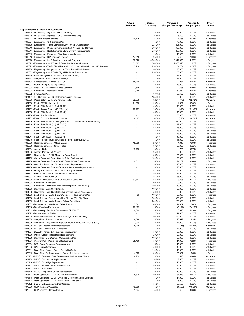|                                                                                                                                               | <b>Actuals</b><br>(6 months)       | <b>Budget</b><br>(12 months) | Variance \$<br>(Budget Remaining) | Variance %<br>(Budget Spent) | Project<br><b>Status</b>   |
|-----------------------------------------------------------------------------------------------------------------------------------------------|------------------------------------|------------------------------|-----------------------------------|------------------------------|----------------------------|
| <b>Capital Projects &amp; One-Time Expenditures</b>                                                                                           |                                    |                              |                                   |                              |                            |
| 1913215 - IT - Security Upgrades (SSC - Cameras)                                                                                              |                                    | 15,000                       | 15,000                            | 0.00%                        | Not Started                |
| 1913216 - IT - Security Upgrades (LGCC - Maintenance Shop)                                                                                    |                                    | 6,500                        | 6,500                             | 0.00%                        | Not Started                |
| 1913217 - IT - Multi-function printers<br>1913607 - Engineering - GIS Strategic Plan                                                          | 14,435                             | 16,000<br>75,000             | 1,565<br>75,000                   | 90.22%<br>0.00%              | In Progress<br>Not Started |
| 1913609 - Engineering - Traffic Signal Network Timing & Coordination                                                                          | ÷,                                 | 225,000                      | 225,000                           | 0.00%                        | Not Started                |
| 1913610 - Engineering - Drainage Improvement (75 Avenue / 29-44Street)                                                                        |                                    | 300,000                      | 300,000                           | 0.00%                        | Not Started                |
| 1913611 - Engineering - Neale Edmunds Storm System Improvements                                                                               |                                    | 250,000                      | 250,000                           | 0.00%                        | Not Started                |
| 1913612 - Engineering - Permanent Rain Gauge Installations                                                                                    |                                    | 10,000                       | 10,000                            | 0.00%                        | Not Started                |
| 1913613 - Engineering - NW Drainage Channel                                                                                                   | 17,515                             | 25,000                       | 7,485                             | 70.06%                       | In Progress                |
| 1913620 - Engineering - 2019 Street Improvement Program                                                                                       | 88,025                             | 3,000,000                    | 2,911,975                         | 2.93%                        | In Progress                |
| 1913621 - Engineering - 2019 Water & Sewer Replacement Program                                                                                | 31,577                             | 2,500,000                    | 2,468,423                         | 1.26%                        | In Progress                |
| 1913623 - Engineering - Traffic Signal Installation - Commercial Development (75 Avenue)                                                      | 15,216                             | 250,000                      | 234,784                           | 6.09%                        | In Progress                |
| 1913624 - Engineering - Dangerous Goods /Truck Route Establishment                                                                            |                                    | 150,000                      | 150,000                           | 0.00%                        | Not Started                |
| 1913632 - Engineering - 2019 Traffic Signal Hardware Replacement                                                                              | ÷,                                 | 250,000                      | 250,000                           | 0.00%                        | Not Started                |
| 1913640 - Asset Management - Sidewalk Condition Survey                                                                                        | $\overline{\phantom{a}}$           | 31,000                       | 31,000                            | 0.00%                        | Not Started                |
| 1913651 - Study/Plan - Road Condition Survey                                                                                                  |                                    | 31,000                       | 31,000                            | 0.00%                        | Not Started                |
| 1913701 - Assessment & Taxation - SUV (2)                                                                                                     | 55,769                             | 56,000                       | 231                               | 99.59%                       | Complete                   |
| 1921001 - RCMP - Drug Screening Devices                                                                                                       | $\blacksquare$                     | 25,000                       | 25,000                            | 0.00%                        | Not Started                |
| 1922001 - Bylaw - In Car Digital Evidence Cameras                                                                                             | 22,565                             | 25,100                       | 2,535                             | 89.90%                       | In Progress                |
| 1923001 - Study/Plan - Operational Review                                                                                                     | 22,148                             | 75,000                       | 52,852                            | 29.53%                       | In Progress                |
| 1923002 - Fire Master Plan                                                                                                                    | $\blacksquare$                     | 60,432                       | 60,432                            | 0.00%                        | Not Started                |
| 1924101 - 911 Services - AFRRCS Communication Consoles                                                                                        | $\blacksquare$                     | 135,000                      | 135,000                           | 0.00%                        | Not Started                |
| 1925003 - Public Safety - AFRRCS Portable Radios                                                                                              | 32,775                             | 32,000                       | (775)                             | 102.42%                      | Complete                   |
| 1931200 - Fleet - ATV Replacement                                                                                                             | 21,893                             | 26,500                       | 4,607                             | 82.62%                       | In Progress                |
| 1931201 - Fleet - F150 Truck (1) (Unit 22-70)                                                                                                 | $\sim$                             | 43,000                       | 43,000                            | 0.00%                        | Not Started                |
| 1931202 - Fleet - Lease Buy-out (2017 Dodge)<br>1931203 - Fleet - F250 Truck (1) (Unit 23-42)                                                 | 28,925<br>$\overline{\phantom{a}}$ | 28,500<br>45,000             | (425)<br>45,000                   | 101.49%<br>0.00%             | Complete                   |
| 1931204 - Fleet - Ice Resurfacer                                                                                                              | $\sim$                             | 135,000                      | 135,000                           | 0.00%                        | Not Started<br>Not Started |
| 1931205 - Fleet - Emission Testing Equipment                                                                                                  | 4,195                              | 4,000                        | (195)                             | 104.88%                      | Complete                   |
| 1931206 - Fleet - F850 Tandem Truck (2) (Units 27-12 and/or 27-13 and/or 27-14)                                                               | $\sim$                             | 620,000                      | 620,000                           | 0.00%                        | Not Started                |
| 1931210 - Fleet - F150 Truck (1) (Unit 22-73)                                                                                                 |                                    | 43,000                       | 43,000                            | 0.00%                        | Not Started                |
| 1931211 - Fleet - F150 Truck (1) (Unit 22-71)                                                                                                 |                                    | 43,000                       | 43,000                            | 0.00%                        | Not Started                |
| 1931212 - Fleet - F150 Truck (1) (Unit 22-74)                                                                                                 |                                    | 43,000                       | 43,000                            | 0.00%                        | Not Started                |
| 1931213 - Fleet - F150 Truck (1) (Unit 22-56)                                                                                                 |                                    | 43,000                       | 43,000                            | 0.00%                        | Not Started                |
| 1931214 - Fleet - F250 Truck (1) (Unit 23-45)                                                                                                 | $\blacksquare$                     | 45,000                       | 45,000                            | 0.00%                        | Not Started                |
| 1931215 - Fleet - Replace Truck converted to Photo Radar (Unit 21-33)                                                                         | $\overline{a}$                     | 45,000                       | 45,000                            | 0.00%                        | Not Started                |
| 1932008 - Roadway Services - Milling Machine                                                                                                  | 15,985                             | 20,000                       | 4,015                             | 79.93%                       | In Progress                |
| 1932009 - Roadway Services - Banner Poles                                                                                                     |                                    | 30,000                       | 30,000                            | 0.00%                        | Not Started                |
| 1934004 - Airport - Boiler                                                                                                                    | 17,235                             | 18,000                       | 765                               | 95.75%                       | In Progress                |
| 1934005 - Airport - Parking Lot Painting                                                                                                      |                                    | 25,000                       | 25,000                            | 0.00%                        | Not Started                |
| 1941101 - River Intake- LLP 102 Motor and Pump Rebuild                                                                                        |                                    | 35,000                       | 35,000                            | 0.00%                        | Not Started                |
| 1941102 - Water Treatment Plant - Clarifier Drive Replacement                                                                                 |                                    | 190,000                      | 190,000                           | 0.00%                        | Not Started                |
| 1941104 - Water Treatment Plant - Vault#5 Control Valve Replacement                                                                           | 10,811                             | 35,000                       | 24,189                            | 30.89%                       | In Progress                |
| 1941106 - West End Reservoir - Chlorine System Replacement                                                                                    | $\blacksquare$                     | 30,000                       | 30,000                            | 0.00%                        | Not Started                |
| 1941108 - Water Treatment Plant - SCADA and Automation Improvements                                                                           | $\sim$                             | 20,000                       | 20,000                            | 0.00%                        | Not Started                |
| 1941110 - Husky Pumphouse - Communication Improvements                                                                                        | ÷,                                 | 54,000                       | 54,000                            | 0.00%                        | Not Started                |
| 1941111 - River Intake - Site Access Road Improvement                                                                                         | $\overline{\phantom{a}}$           | 86,000                       | 86,000                            | 0.00%                        | Not Started                |
| 1943003 - Landfill - F250 Trucks (2)                                                                                                          |                                    | 86,000                       | 86,000                            | 0.00%                        | Not Started                |
| 1943004 - Landfill - Reclassification & Conceptual Closure Plan                                                                               | 52,647                             | 58,000                       | 5,353                             | 90.77%                       | In Progress                |
| 1961001 - Study/Plan - Annexation                                                                                                             |                                    | 90,000                       | 90,000                            | 0.00%                        | Not Started<br>Not Started |
| 1961002 - Study/Plan - Downtown Area Redevelopment Plan (DARP)                                                                                | $\sim$                             | 150,000                      | 150,000                           | 0.00%                        |                            |
| 1961003 - Study/Plan - Joint Growth Study                                                                                                     | $\blacksquare$                     | 100,000<br>50,000            | 100,000<br>50,000                 | 0.00%<br>0.00%               | Not Started<br>Not Started |
| 1961006 - Study/Plan - Joint Growth Study (Financial Impact Assessment)<br>1961203 - Land Division - Martin Browne/Outdoor Redevelopment Plan | 33                                 | 100,000                      | 99,967                            | 0.03%                        | In Progress                |
| 1961208 - Land Division - Contaminated Lot Cleanup (Old City Shop)                                                                            | $\overline{\phantom{a}}$           | 300,000                      | 300,000                           | 0.00%                        | Not Started                |
| 1961209 - Land Division - Martin Browne School Demolition                                                                                     |                                    | 250,000                      | 250,000                           | 0.00%                        | Not Started                |
| 1961305 - BM - City Hall - Washroom Rehabilitation                                                                                            | 15,043                             | 60,000                       | 44,957                            | 25.07%                       | In Progress                |
| 1961318 - BM - Furniture Replacement                                                                                                          | 20,129                             | 15,000                       | (5, 129)                          | 134.19%                      | In Progress                |
| 1961319 - BM - Safety - Furniture Replacement SP2019.03                                                                                       | 8,090                              | 15,000                       | 6,910                             | 53.93%                       | In Progress                |
| 1961325 - BM - Scissor Lift Trailer                                                                                                           | ٠                                  | 17,000                       | 17,000                            | 0.00%                        | Not Started                |
| 1963004 - Economic Development - Entrance Signs & Placemaking                                                                                 | $\overline{\phantom{a}}$           | 250,000                      | 250,000                           | 0.00%                        | Not Started                |
| 1963005 - Study/Plan - Business Survey                                                                                                        | 4,088                              | 25,000                       | 20,913                            | 16.35%                       | In Progress                |
| 1963006 - Study/Plan - Lloydminster Regional Airport Aerotropolis Viability Study                                                             | 3,000                              | 75,000                       | 72,000                            | 4.00%                        | In Progress                |
| 1971005 - BMASP - Bobcat Broom Replacement                                                                                                    | 8,115                              | 8,000                        | (115)                             | 101.44%                      | Complete                   |
| 1971006 - BMASP - Tennis Court Resurfacing                                                                                                    |                                    | 44,000                       | 44,000                            | 0.00%                        | Not Started                |
| 1971007 - BMASP - Parking Lot Pavement Improvement                                                                                            |                                    | 50,000                       | 50,000                            | 0.00%                        | Not Started                |
| 1971206 - Parks - Garbage Receptacle Replacement.                                                                                             | $\overline{\phantom{a}}$           | 20,000                       | 20,000                            | 0.00%                        | Not Started                |
| 1971209 - Study/Plan - Ball Diamond Complex Site Plan                                                                                         | $\sim$                             | 100,000                      | 100,000                           | 0.00%                        | Not Started                |
| 1971301 - Weaver Park - Picnic Table Replacement                                                                                              | 35,100                             | 50,000                       | 14,900                            | 70.20%                       | In Progress                |
| 1973004 - BAC- Sump Pumps on Back up power                                                                                                    |                                    | 15,000                       | 15,000                            | 0.00%                        | Not Started                |
| 1973005 - BAC- Sauna Upgrades                                                                                                                 | $\overline{\phantom{a}}$           | 40,000                       | 40,000                            | 0.00%                        | Not Started                |
| 1973011 - Study/Plan - Aquatic Centre Feasibility Study                                                                                       |                                    | 110,000                      | 110,000                           | 0.00%                        | Not Started                |
| 1973012 - Study/Plan - BioClean Aquatic Centre Building Assessment                                                                            | 4,973                              | 30,000                       | 25,027                            | 16.58%                       | In Progress                |
| 1973102 - LGCC - Overhead Door Replacement (Maintenance Shop)                                                                                 | 4,930                              | 5,500                        | 570                               | 89.64%                       | Complete                   |
| 1973108 - LGCC - Dishwasher Replacement                                                                                                       |                                    | 6,500                        | 6,500                             | 0.00%                        | Not Started                |
| 1973110 - LGCC - Bar fridge Replacement                                                                                                       | $\overline{\phantom{a}}$           | 15,000                       | 15,000                            | 0.00%                        | Not Started                |
| 1973112 - LGCC - Practice Green Reconstruction                                                                                                | $\blacksquare$                     | 40,000                       | 40,000                            | 0.00%                        | Not Started                |
| 1973113 - LGCC - PA System                                                                                                                    | $\blacksquare$                     | 35,000                       | 35,000                            | 0.00%                        | Not Started                |
| 1973116 - LGCC - Prep Table Cooler Replacement                                                                                                |                                    | 10,000                       | 10,000                            | 0.00%                        | Not Started                |
| 1973117 - Plant Operators - LGCC - Chiller Replacement                                                                                        | 28,325                             | 90,000                       | 61,675                            | 31.47%                       | In Progress                |
| 1973118 - Plant Operators - LGCC - Ammonia Detection System Upgrade                                                                           |                                    | 14,000                       | 14,000                            | 0.00%                        | Not Started                |
| 1973121 - Plant Operators - LGCC - Plant Room Renovation                                                                                      | $\overline{\phantom{a}}$           | 25,000                       | 25,000                            | 0.00%                        | Not Started                |
| 1973122 - LGCC - Lift & Automatic Door Upgrade                                                                                                |                                    | 55,565                       | 55,565                            | 0.00%                        | Not Started                |
| 1973206 - ODP- Replace Waterslide                                                                                                             | 49,500                             | 45,000                       | (4,500)                           | 110.00%                      | Complete                   |
| 1973207 - ODP-Replace Chlorine Pumps                                                                                                          | 1,544                              | 5,000                        | 3,456                             | 30.89%                       | In Progress                |